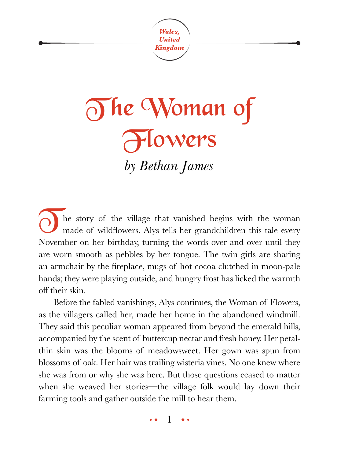

## The Woman of Flowers *by Bethan James*

he story of the village that vanished begins with the woman made of wildflowers. Alys tells her grandchildren this tale every November on her birthday, turning the words over and over until they are worn smooth as pebbles by her tongue. The twin girls are sharing an armchair by the fireplace, mugs of hot cocoa clutched in moon-pale hands; they were playing outside, and hungry frost has licked the warmth off their skin.

Before the fabled vanishings, Alys continues, the Woman of Flowers, as the villagers called her, made her home in the abandoned windmill. They said this peculiar woman appeared from beyond the emerald hills, accompanied by the scent of buttercup nectar and fresh honey. Her petalthin skin was the blooms of meadowsweet. Her gown was spun from blossoms of oak. Her hair was trailing wisteria vines. No one knew where she was from or why she was here. But those questions ceased to matter when she weaved her stories—the village folk would lay down their farming tools and gather outside the mill to hear them.

1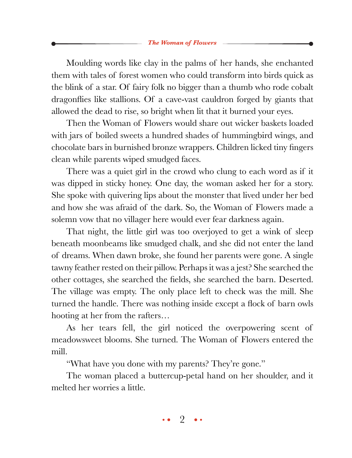Moulding words like clay in the palms of her hands, she enchanted them with tales of forest women who could transform into birds quick as the blink of a star. Of fairy folk no bigger than a thumb who rode cobalt dragonflies like stallions. Of a cave-vast cauldron forged by giants that allowed the dead to rise, so bright when lit that it burned your eyes.

Then the Woman of Flowers would share out wicker baskets loaded with jars of boiled sweets a hundred shades of hummingbird wings, and chocolate bars in burnished bronze wrappers. Children licked tiny fingers clean while parents wiped smudged faces.

There was a quiet girl in the crowd who clung to each word as if it was dipped in sticky honey. One day, the woman asked her for a story. She spoke with quivering lips about the monster that lived under her bed and how she was afraid of the dark. So, the Woman of Flowers made a solemn vow that no villager here would ever fear darkness again.

That night, the little girl was too overjoyed to get a wink of sleep beneath moonbeams like smudged chalk, and she did not enter the land of dreams. When dawn broke, she found her parents were gone. A single tawny feather rested on their pillow. Perhaps it was a jest? She searched the other cottages, she searched the fields, she searched the barn. Deserted. The village was empty. The only place left to check was the mill. She turned the handle. There was nothing inside except a flock of barn owls hooting at her from the rafters…

As her tears fell, the girl noticed the overpowering scent of meadowsweet blooms. She turned. The Woman of Flowers entered the mill.

"What have you done with my parents? They're gone."

The woman placed a buttercup-petal hand on her shoulder, and it melted her worries a little.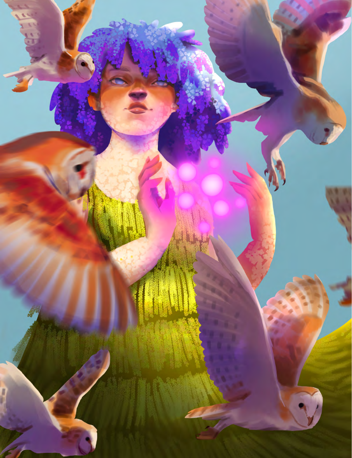